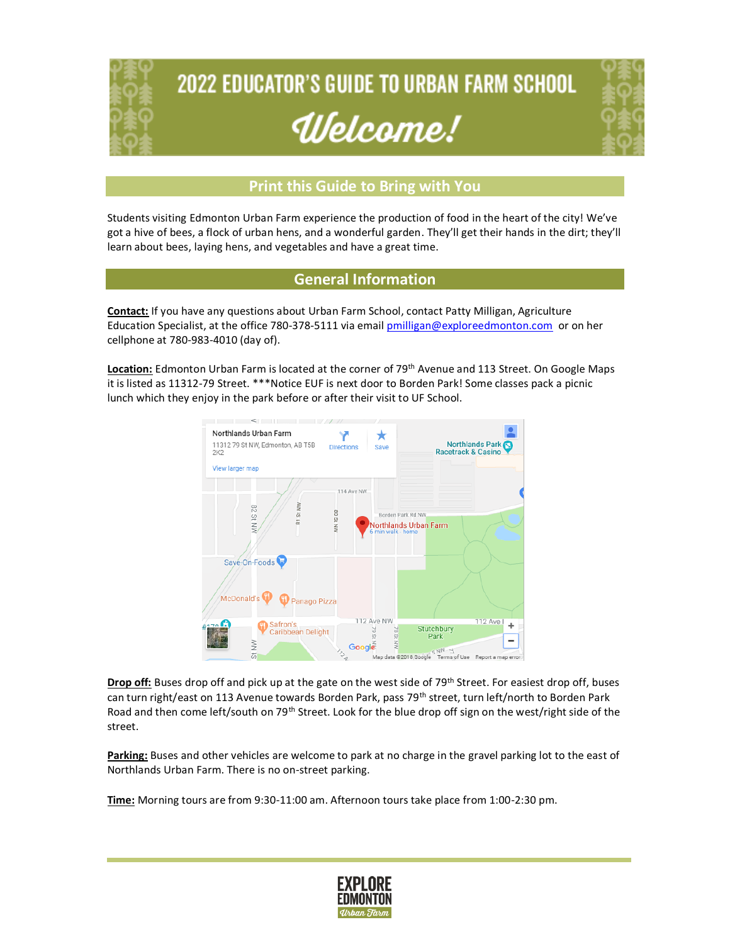

# **2022 EDUCATOR'S GUIDE TO URBAN FARM SCHOOL** Ulelcome!



#### **Print this Guide to Bring with You**

Students visiting Edmonton Urban Farm experience the production of food in the heart of the city! We've got a hive of bees, a flock of urban hens, and a wonderful garden. They'll get their hands in the dirt; they'll learn about bees, laying hens, and vegetables and have a great time.

#### **General Information**

**Contact:** If you have any questions about Urban Farm School, contact Patty Milligan, Agriculture Education Specialist, at the office 780-378-5111 via emai[l pmilligan@exploreedmonton.com](mailto:pmilligan@exploreedmonton.com) or on her cellphone at 780-983-4010 (day of).

**Location:** Edmonton Urban Farm is located at the corner of 79th Avenue and 113 Street. On Google Maps it is listed as 11312-79 Street. \*\*\*Notice EUF is next door to Borden Park! Some classes pack a picnic lunch which they enjoy in the park before or after their visit to UF School.



**Drop off:** Buses drop off and pick up at the gate on the west side of 79<sup>th</sup> Street. For easiest drop off, buses can turn right/east on 113 Avenue towards Borden Park, pass 79<sup>th</sup> street, turn left/north to Borden Park Road and then come left/south on 79<sup>th</sup> Street. Look for the blue drop off sign on the west/right side of the street.

**Parking:** Buses and other vehicles are welcome to park at no charge in the gravel parking lot to the east of Northlands Urban Farm. There is no on-street parking.

**Time:** Morning tours are from 9:30-11:00 am. Afternoon tours take place from 1:00-2:30 pm.

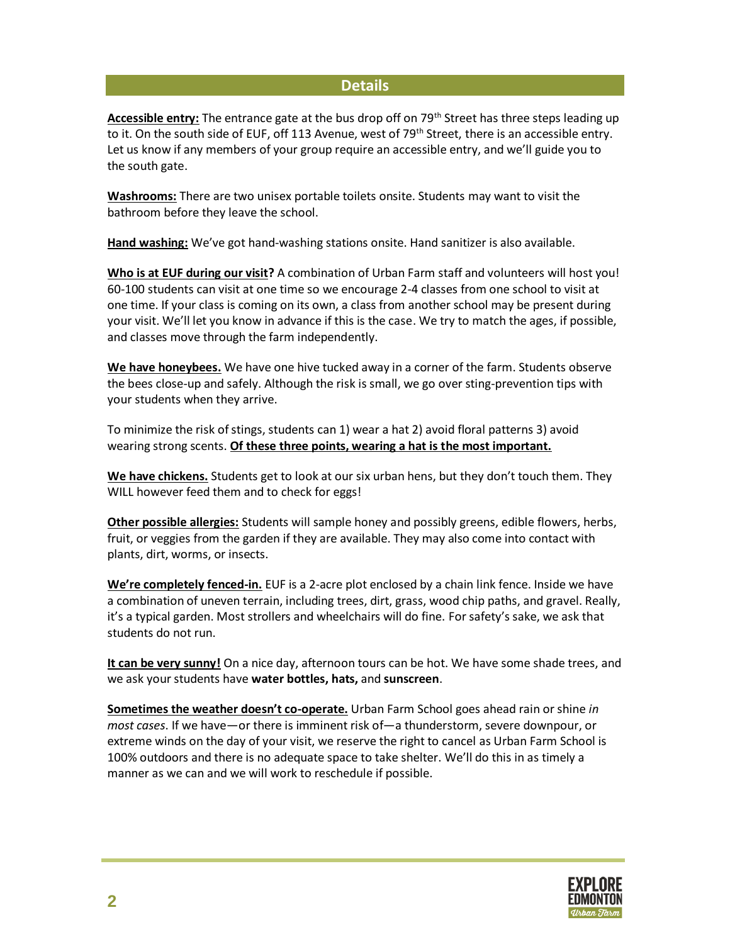#### **Details**

Accessible entry: The entrance gate at the bus drop off on 79<sup>th</sup> Street has three steps leading up to it. On the south side of EUF, off 113 Avenue, west of 79<sup>th</sup> Street, there is an accessible entry. Let us know if any members of your group require an accessible entry, and we'll guide you to the south gate.

**Washrooms:** There are two unisex portable toilets onsite. Students may want to visit the bathroom before they leave the school.

**Hand washing:** We've got hand-washing stations onsite. Hand sanitizer is also available.

**Who is at EUF during our visit?** A combination of Urban Farm staff and volunteers will host you! 60-100 students can visit at one time so we encourage 2-4 classes from one school to visit at one time. If your class is coming on its own, a class from another school may be present during your visit. We'll let you know in advance if this is the case. We try to match the ages, if possible, and classes move through the farm independently.

**We have honeybees.** We have one hive tucked away in a corner of the farm. Students observe the bees close-up and safely. Although the risk is small, we go over sting-prevention tips with your students when they arrive.

To minimize the risk of stings, students can 1) wear a hat 2) avoid floral patterns 3) avoid wearing strong scents. **Of these three points, wearing a hat is the most important.**

**We have chickens.** Students get to look at our six urban hens, but they don't touch them. They WILL however feed them and to check for eggs!

**Other possible allergies:** Students will sample honey and possibly greens, edible flowers, herbs, fruit, or veggies from the garden if they are available. They may also come into contact with plants, dirt, worms, or insects.

**We're completely fenced-in.** EUF is a 2-acre plot enclosed by a chain link fence. Inside we have a combination of uneven terrain, including trees, dirt, grass, wood chip paths, and gravel. Really, it's a typical garden. Most strollers and wheelchairs will do fine. For safety's sake, we ask that students do not run.

**It can be very sunny!** On a nice day, afternoon tours can be hot. We have some shade trees, and we ask your students have **water bottles, hats,** and **sunscreen**.

**Sometimes the weather doesn't co-operate.** Urban Farm School goes ahead rain or shine *in most cases*. If we have—or there is imminent risk of—a thunderstorm, severe downpour, or extreme winds on the day of your visit, we reserve the right to cancel as Urban Farm School is 100% outdoors and there is no adequate space to take shelter. We'll do this in as timely a manner as we can and we will work to reschedule if possible.

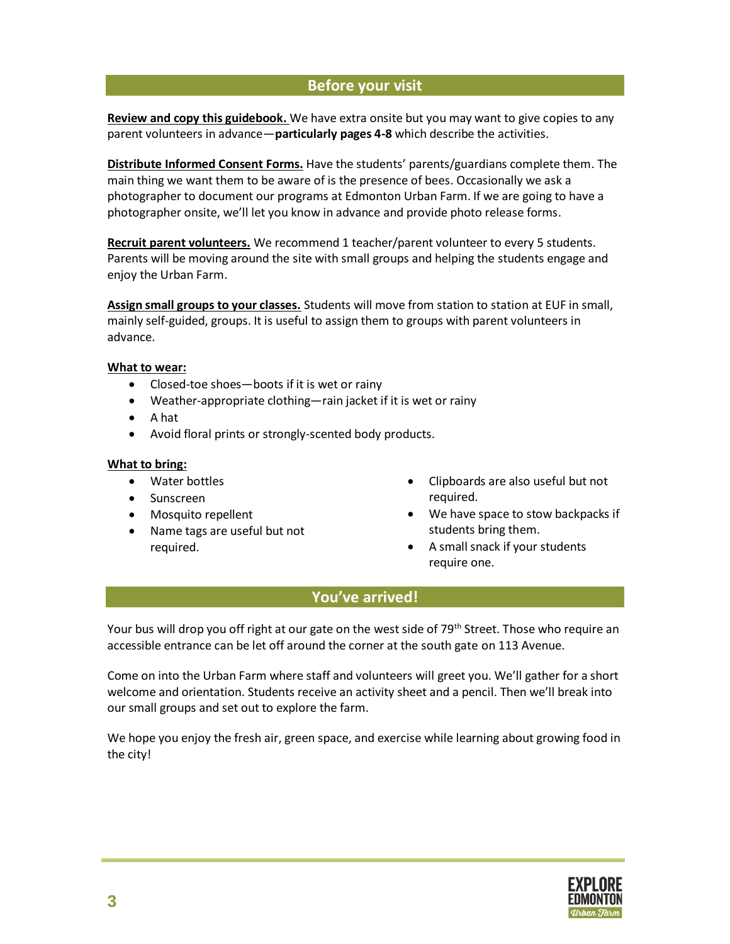#### **Before your visit**

**Review and copy this guidebook.** We have extra onsite but you may want to give copies to any parent volunteers in advance—**particularly pages 4-8** which describe the activities.

**Distribute Informed Consent Forms.** Have the students' parents/guardians complete them. The main thing we want them to be aware of is the presence of bees. Occasionally we ask a photographer to document our programs at Edmonton Urban Farm. If we are going to have a photographer onsite, we'll let you know in advance and provide photo release forms.

**Recruit parent volunteers.** We recommend 1 teacher/parent volunteer to every 5 students. Parents will be moving around the site with small groups and helping the students engage and enjoy the Urban Farm.

**Assign small groups to your classes.** Students will move from station to station at EUF in small, mainly self-guided, groups. It is useful to assign them to groups with parent volunteers in advance.

#### **What to wear:**

- Closed-toe shoes—boots if it is wet or rainy
- Weather-appropriate clothing—rain jacket if it is wet or rainy
- A hat
- Avoid floral prints or strongly-scented body products.

#### **What to bring:**

- Water bottles
- Sunscreen
- Mosquito repellent
- Name tags are useful but not required.
- Clipboards are also useful but not required.
- We have space to stow backpacks if students bring them.
- A small snack if your students require one.

#### **You've arrived!**

Your bus will drop you off right at our gate on the west side of 79<sup>th</sup> Street. Those who require an accessible entrance can be let off around the corner at the south gate on 113 Avenue.

Come on into the Urban Farm where staff and volunteers will greet you. We'll gather for a short welcome and orientation. Students receive an activity sheet and a pencil. Then we'll break into our small groups and set out to explore the farm.

We hope you enjoy the fresh air, green space, and exercise while learning about growing food in the city!

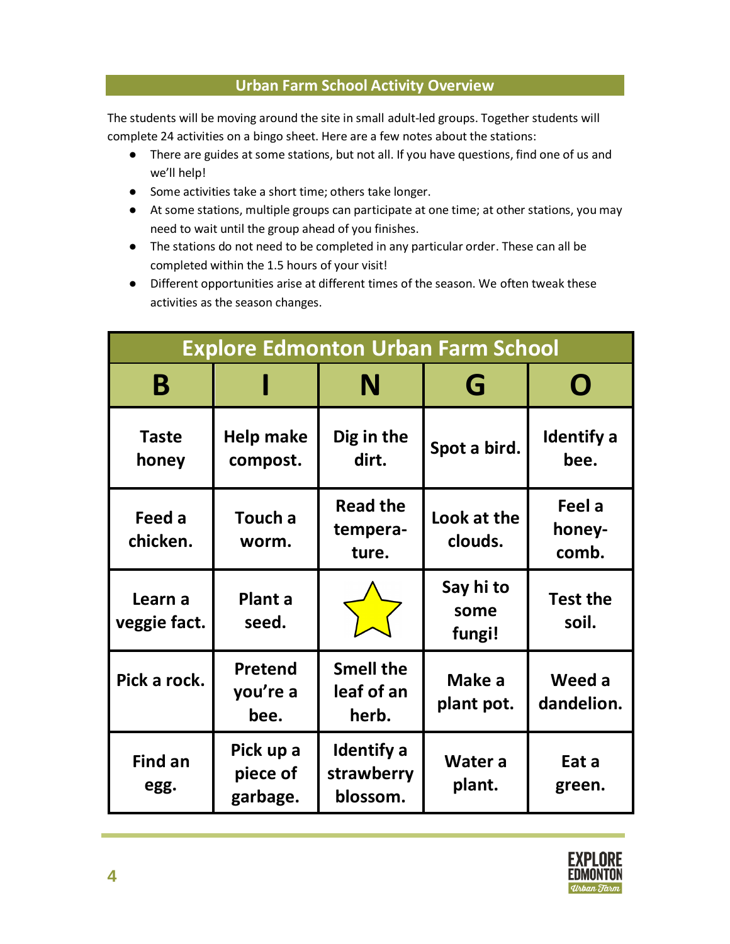#### **Urban Farm School Activity Overview**

The students will be moving around the site in small adult-led groups. Together students will complete 24 activities on a bingo sheet. Here are a few notes about the stations:

- There are guides at some stations, but not all. If you have questions, find one of us and we'll help!
- Some activities take a short time; others take longer.
- At some stations, multiple groups can participate at one time; at other stations, you may need to wait until the group ahead of you finishes.
- The stations do not need to be completed in any particular order. These can all be completed within the 1.5 hours of your visit!
- Different opportunities arise at different times of the season. We often tweak these activities as the season changes.

| <b>Explore Edmonton Urban Farm School</b> |                                   |                                         |                             |                           |
|-------------------------------------------|-----------------------------------|-----------------------------------------|-----------------------------|---------------------------|
| B                                         |                                   | N                                       | G                           | Ŋ                         |
| <b>Taste</b><br>honey                     | Help make<br>compost.             | Dig in the<br>dirt.                     | Spot a bird.                | <b>Identify</b> a<br>bee. |
| Feed a<br>chicken.                        | Touch a<br>worm.                  | <b>Read the</b><br>tempera-<br>ture.    | Look at the<br>clouds.      | Feel a<br>honey-<br>comb. |
| Learn a<br>veggie fact.                   | Plant a<br>seed.                  |                                         | Say hi to<br>some<br>fungi! | <b>Test the</b><br>soil.  |
| Pick a rock.                              | Pretend<br>you're a<br>bee.       | <b>Smell the</b><br>leaf of an<br>herb. | Make a<br>plant pot.        | Weed a<br>dandelion.      |
| <b>Find an</b><br>egg.                    | Pick up a<br>piece of<br>garbage. | Identify a<br>strawberry<br>blossom.    | Water a<br>plant.           | Eat a<br>green.           |

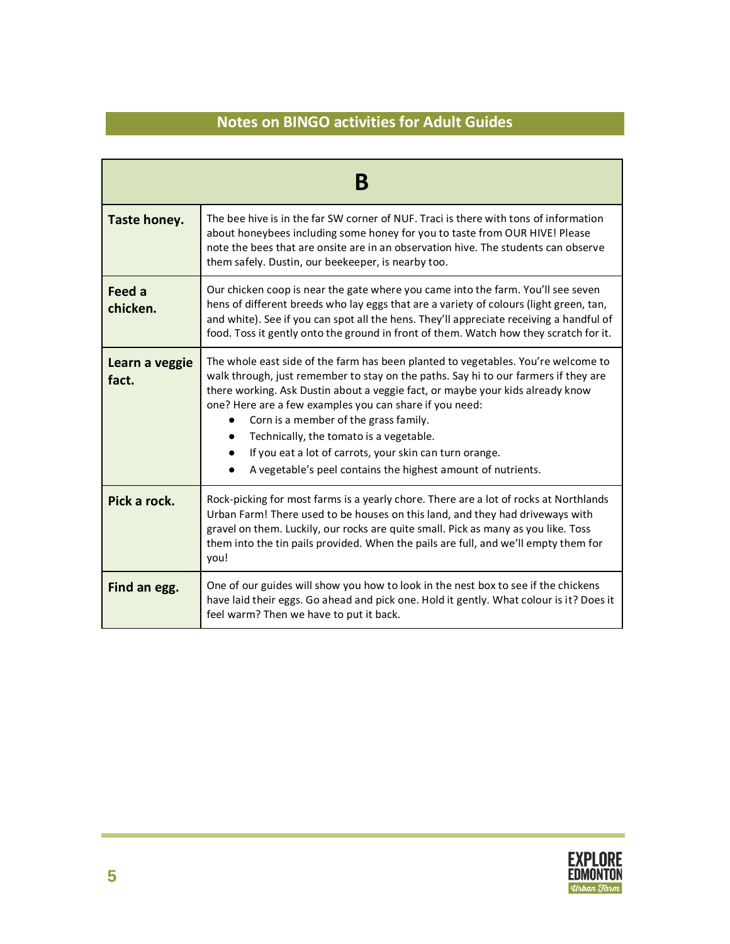| Β                       |                                                                                                                                                                                                                                                                                                                                                                                                                                                                                                                                                   |  |
|-------------------------|---------------------------------------------------------------------------------------------------------------------------------------------------------------------------------------------------------------------------------------------------------------------------------------------------------------------------------------------------------------------------------------------------------------------------------------------------------------------------------------------------------------------------------------------------|--|
| Taste honey.            | The bee hive is in the far SW corner of NUF. Traci is there with tons of information<br>about honeybees including some honey for you to taste from OUR HIVE! Please<br>note the bees that are onsite are in an observation hive. The students can observe<br>them safely. Dustin, our beekeeper, is nearby too.                                                                                                                                                                                                                                   |  |
| Feed a<br>chicken.      | Our chicken coop is near the gate where you came into the farm. You'll see seven<br>hens of different breeds who lay eggs that are a variety of colours (light green, tan,<br>and white). See if you can spot all the hens. They'll appreciate receiving a handful of<br>food. Toss it gently onto the ground in front of them. Watch how they scratch for it.                                                                                                                                                                                    |  |
| Learn a veggie<br>fact. | The whole east side of the farm has been planted to vegetables. You're welcome to<br>walk through, just remember to stay on the paths. Say hi to our farmers if they are<br>there working. Ask Dustin about a veggie fact, or maybe your kids already know<br>one? Here are a few examples you can share if you need:<br>Corn is a member of the grass family.<br>$\bullet$<br>Technically, the tomato is a vegetable.<br>If you eat a lot of carrots, your skin can turn orange.<br>A vegetable's peel contains the highest amount of nutrients. |  |
| Pick a rock.            | Rock-picking for most farms is a yearly chore. There are a lot of rocks at Northlands<br>Urban Farm! There used to be houses on this land, and they had driveways with<br>gravel on them. Luckily, our rocks are quite small. Pick as many as you like. Toss<br>them into the tin pails provided. When the pails are full, and we'll empty them for<br>you!                                                                                                                                                                                       |  |
| Find an egg.            | One of our guides will show you how to look in the nest box to see if the chickens<br>have laid their eggs. Go ahead and pick one. Hold it gently. What colour is it? Does it<br>feel warm? Then we have to put it back.                                                                                                                                                                                                                                                                                                                          |  |

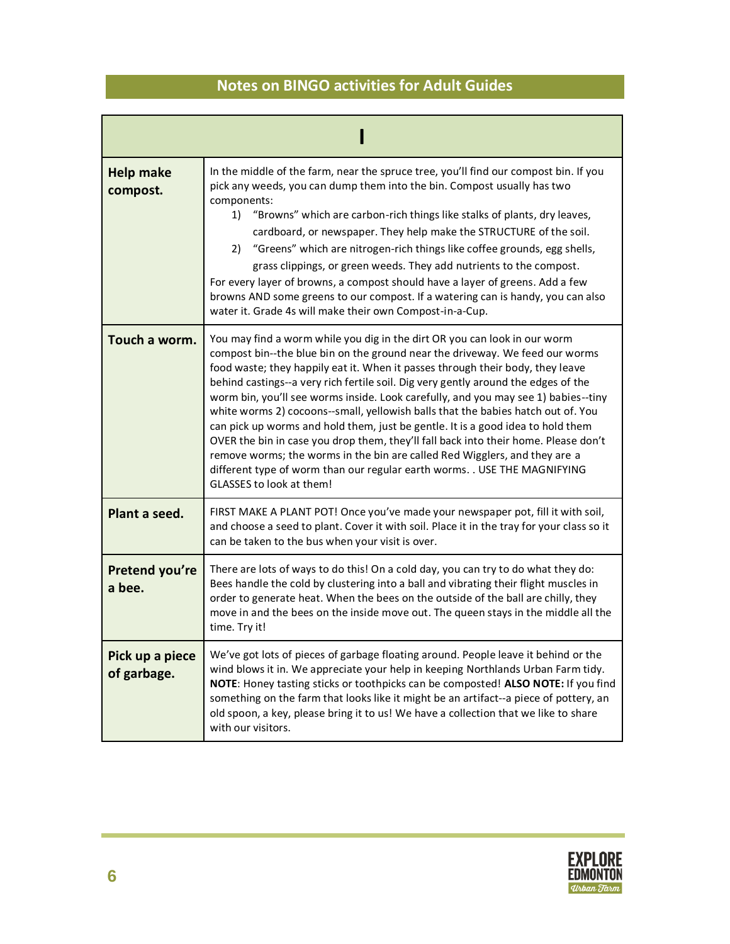| <b>Help make</b><br>compost.   | In the middle of the farm, near the spruce tree, you'll find our compost bin. If you<br>pick any weeds, you can dump them into the bin. Compost usually has two<br>components:<br>"Browns" which are carbon-rich things like stalks of plants, dry leaves,<br>1)<br>cardboard, or newspaper. They help make the STRUCTURE of the soil.<br>2) "Greens" which are nitrogen-rich things like coffee grounds, egg shells,<br>grass clippings, or green weeds. They add nutrients to the compost.<br>For every layer of browns, a compost should have a layer of greens. Add a few<br>browns AND some greens to our compost. If a watering can is handy, you can also<br>water it. Grade 4s will make their own Compost-in-a-Cup.                                                                                                                                                 |
|--------------------------------|------------------------------------------------------------------------------------------------------------------------------------------------------------------------------------------------------------------------------------------------------------------------------------------------------------------------------------------------------------------------------------------------------------------------------------------------------------------------------------------------------------------------------------------------------------------------------------------------------------------------------------------------------------------------------------------------------------------------------------------------------------------------------------------------------------------------------------------------------------------------------|
| Touch a worm.                  | You may find a worm while you dig in the dirt OR you can look in our worm<br>compost bin--the blue bin on the ground near the driveway. We feed our worms<br>food waste; they happily eat it. When it passes through their body, they leave<br>behind castings--a very rich fertile soil. Dig very gently around the edges of the<br>worm bin, you'll see worms inside. Look carefully, and you may see 1) babies--tiny<br>white worms 2) cocoons--small, yellowish balls that the babies hatch out of. You<br>can pick up worms and hold them, just be gentle. It is a good idea to hold them<br>OVER the bin in case you drop them, they'll fall back into their home. Please don't<br>remove worms; the worms in the bin are called Red Wigglers, and they are a<br>different type of worm than our regular earth worms. . USE THE MAGNIFYING<br>GLASSES to look at them! |
| Plant a seed.                  | FIRST MAKE A PLANT POT! Once you've made your newspaper pot, fill it with soil,<br>and choose a seed to plant. Cover it with soil. Place it in the tray for your class so it<br>can be taken to the bus when your visit is over.                                                                                                                                                                                                                                                                                                                                                                                                                                                                                                                                                                                                                                             |
| Pretend you're<br>a bee.       | There are lots of ways to do this! On a cold day, you can try to do what they do:<br>Bees handle the cold by clustering into a ball and vibrating their flight muscles in<br>order to generate heat. When the bees on the outside of the ball are chilly, they<br>move in and the bees on the inside move out. The queen stays in the middle all the<br>time. Try it!                                                                                                                                                                                                                                                                                                                                                                                                                                                                                                        |
| Pick up a piece<br>of garbage. | We've got lots of pieces of garbage floating around. People leave it behind or the<br>wind blows it in. We appreciate your help in keeping Northlands Urban Farm tidy.<br>NOTE: Honey tasting sticks or toothpicks can be composted! ALSO NOTE: If you find<br>something on the farm that looks like it might be an artifact--a piece of pottery, an<br>old spoon, a key, please bring it to us! We have a collection that we like to share<br>with our visitors.                                                                                                                                                                                                                                                                                                                                                                                                            |

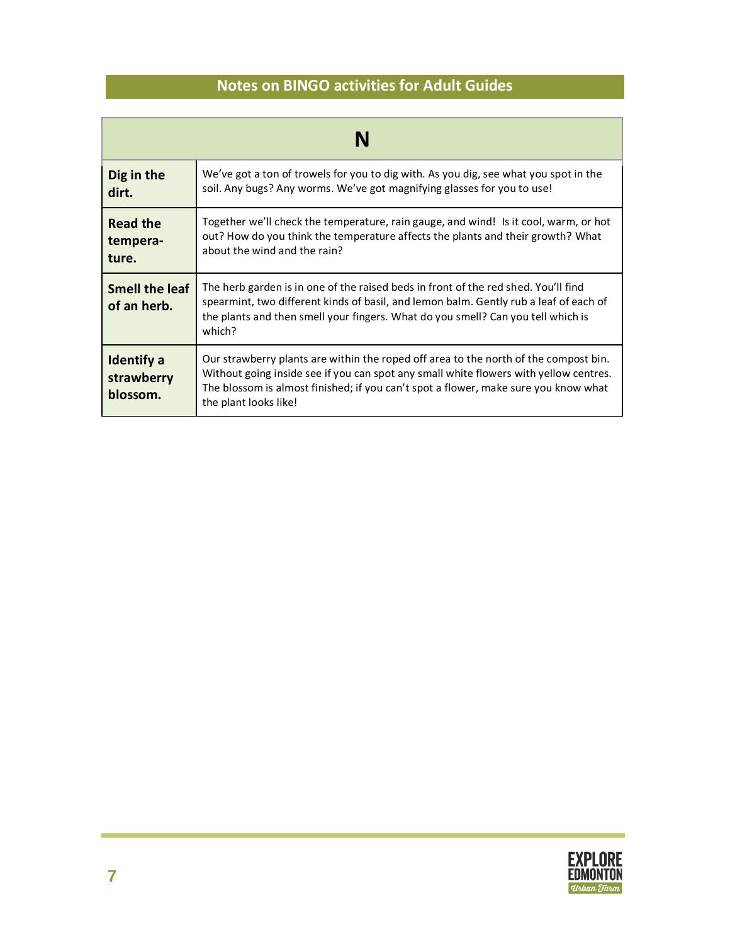| N                                           |                                                                                                                                                                                                                                                                                               |  |
|---------------------------------------------|-----------------------------------------------------------------------------------------------------------------------------------------------------------------------------------------------------------------------------------------------------------------------------------------------|--|
| Dig in the<br>dirt.                         | We've got a ton of trowels for you to dig with. As you dig, see what you spot in the<br>soil. Any bugs? Any worms. We've got magnifying glasses for you to use!                                                                                                                               |  |
| <b>Read the</b><br>tempera-<br>ture.        | Together we'll check the temperature, rain gauge, and wind! Is it cool, warm, or hot<br>out? How do you think the temperature affects the plants and their growth? What<br>about the wind and the rain?                                                                                       |  |
| <b>Smell the leaf</b><br>of an herb.        | The herb garden is in one of the raised beds in front of the red shed. You'll find<br>spearmint, two different kinds of basil, and lemon balm. Gently rub a leaf of each of<br>the plants and then smell your fingers. What do you smell? Can you tell which is<br>which?                     |  |
| <b>Identify a</b><br>strawberry<br>blossom. | Our strawberry plants are within the roped off area to the north of the compost bin.<br>Without going inside see if you can spot any small white flowers with yellow centres.<br>The blossom is almost finished; if you can't spot a flower, make sure you know what<br>the plant looks like! |  |

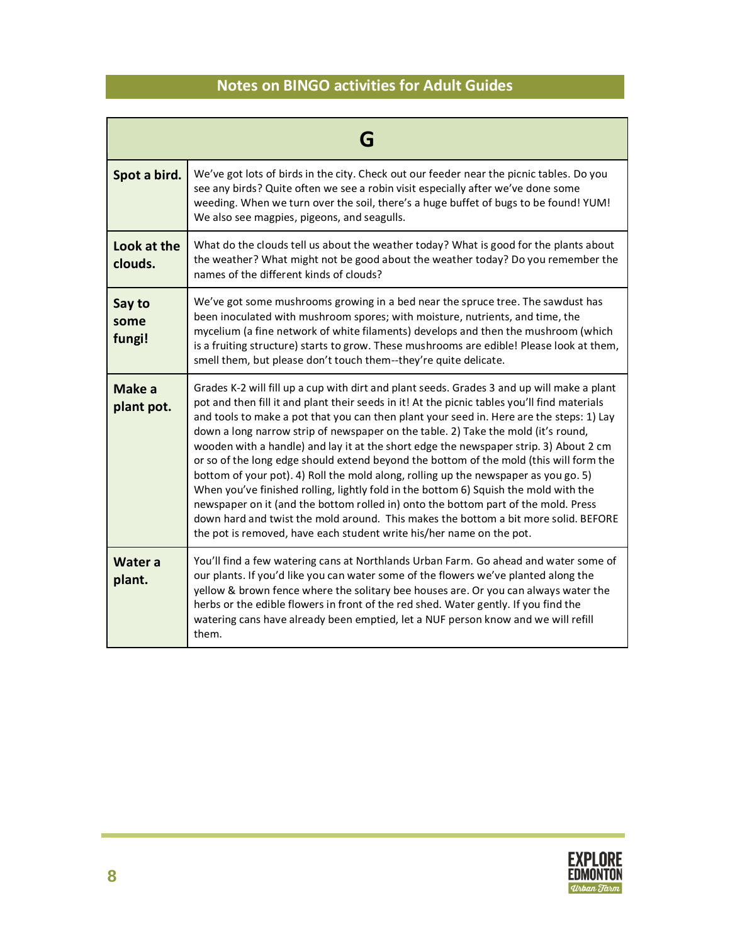| Spot a bird.             | We've got lots of birds in the city. Check out our feeder near the picnic tables. Do you<br>see any birds? Quite often we see a robin visit especially after we've done some<br>weeding. When we turn over the soil, there's a huge buffet of bugs to be found! YUM!<br>We also see magpies, pigeons, and seagulls.                                                                                                                                                                                                                                                                                                                                                                                                                                                                                                                                                                                                                                                                                |  |
|--------------------------|----------------------------------------------------------------------------------------------------------------------------------------------------------------------------------------------------------------------------------------------------------------------------------------------------------------------------------------------------------------------------------------------------------------------------------------------------------------------------------------------------------------------------------------------------------------------------------------------------------------------------------------------------------------------------------------------------------------------------------------------------------------------------------------------------------------------------------------------------------------------------------------------------------------------------------------------------------------------------------------------------|--|
| Look at the<br>clouds.   | What do the clouds tell us about the weather today? What is good for the plants about<br>the weather? What might not be good about the weather today? Do you remember the<br>names of the different kinds of clouds?                                                                                                                                                                                                                                                                                                                                                                                                                                                                                                                                                                                                                                                                                                                                                                               |  |
| Say to<br>some<br>fungi! | We've got some mushrooms growing in a bed near the spruce tree. The sawdust has<br>been inoculated with mushroom spores; with moisture, nutrients, and time, the<br>mycelium (a fine network of white filaments) develops and then the mushroom (which<br>is a fruiting structure) starts to grow. These mushrooms are edible! Please look at them,<br>smell them, but please don't touch them--they're quite delicate.                                                                                                                                                                                                                                                                                                                                                                                                                                                                                                                                                                            |  |
| Make a<br>plant pot.     | Grades K-2 will fill up a cup with dirt and plant seeds. Grades 3 and up will make a plant<br>pot and then fill it and plant their seeds in it! At the picnic tables you'll find materials<br>and tools to make a pot that you can then plant your seed in. Here are the steps: 1) Lay<br>down a long narrow strip of newspaper on the table. 2) Take the mold (it's round,<br>wooden with a handle) and lay it at the short edge the newspaper strip. 3) About 2 cm<br>or so of the long edge should extend beyond the bottom of the mold (this will form the<br>bottom of your pot). 4) Roll the mold along, rolling up the newspaper as you go. 5)<br>When you've finished rolling, lightly fold in the bottom 6) Squish the mold with the<br>newspaper on it (and the bottom rolled in) onto the bottom part of the mold. Press<br>down hard and twist the mold around. This makes the bottom a bit more solid. BEFORE<br>the pot is removed, have each student write his/her name on the pot. |  |
| <b>Water a</b><br>plant. | You'll find a few watering cans at Northlands Urban Farm. Go ahead and water some of<br>our plants. If you'd like you can water some of the flowers we've planted along the<br>yellow & brown fence where the solitary bee houses are. Or you can always water the<br>herbs or the edible flowers in front of the red shed. Water gently. If you find the<br>watering cans have already been emptied, let a NUF person know and we will refill<br>them.                                                                                                                                                                                                                                                                                                                                                                                                                                                                                                                                            |  |

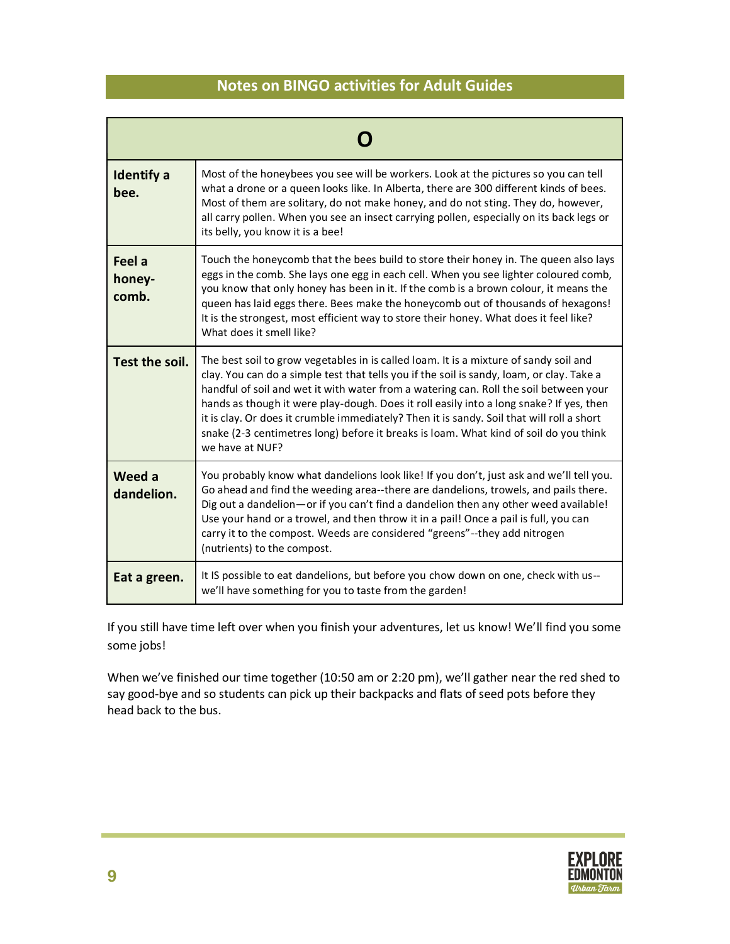| <b>Identify a</b><br>bee. | Most of the honeybees you see will be workers. Look at the pictures so you can tell<br>what a drone or a queen looks like. In Alberta, there are 300 different kinds of bees.<br>Most of them are solitary, do not make honey, and do not sting. They do, however,<br>all carry pollen. When you see an insect carrying pollen, especially on its back legs or<br>its belly, you know it is a bee!                                                                                                                                                                              |  |
|---------------------------|---------------------------------------------------------------------------------------------------------------------------------------------------------------------------------------------------------------------------------------------------------------------------------------------------------------------------------------------------------------------------------------------------------------------------------------------------------------------------------------------------------------------------------------------------------------------------------|--|
| Feel a<br>honey-<br>comb. | Touch the honeycomb that the bees build to store their honey in. The queen also lays<br>eggs in the comb. She lays one egg in each cell. When you see lighter coloured comb,<br>you know that only honey has been in it. If the comb is a brown colour, it means the<br>queen has laid eggs there. Bees make the honeycomb out of thousands of hexagons!<br>It is the strongest, most efficient way to store their honey. What does it feel like?<br>What does it smell like?                                                                                                   |  |
| Test the soil.            | The best soil to grow vegetables in is called loam. It is a mixture of sandy soil and<br>clay. You can do a simple test that tells you if the soil is sandy, loam, or clay. Take a<br>handful of soil and wet it with water from a watering can. Roll the soil between your<br>hands as though it were play-dough. Does it roll easily into a long snake? If yes, then<br>it is clay. Or does it crumble immediately? Then it is sandy. Soil that will roll a short<br>snake (2-3 centimetres long) before it breaks is loam. What kind of soil do you think<br>we have at NUF? |  |
| Weed a<br>dandelion.      | You probably know what dandelions look like! If you don't, just ask and we'll tell you.<br>Go ahead and find the weeding area--there are dandelions, trowels, and pails there.<br>Dig out a dandelion—or if you can't find a dandelion then any other weed available!<br>Use your hand or a trowel, and then throw it in a pail! Once a pail is full, you can<br>carry it to the compost. Weeds are considered "greens"--they add nitrogen<br>(nutrients) to the compost.                                                                                                       |  |
| Eat a green.              | It IS possible to eat dandelions, but before you chow down on one, check with us--<br>we'll have something for you to taste from the garden!                                                                                                                                                                                                                                                                                                                                                                                                                                    |  |

If you still have time left over when you finish your adventures, let us know! We'll find you some some jobs!

When we've finished our time together (10:50 am or 2:20 pm), we'll gather near the red shed to say good-bye and so students can pick up their backpacks and flats of seed pots before they head back to the bus.